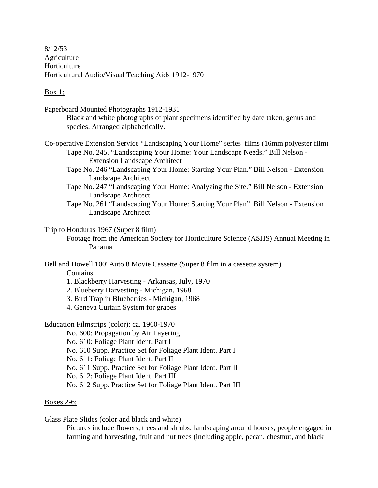8/12/53 Agriculture Horticulture Horticultural Audio/Visual Teaching Aids 1912-1970

## Box 1:

- Paperboard Mounted Photographs 1912-1931 Black and white photographs of plant specimens identified by date taken, genus and species. Arranged alphabetically.
- Co-operative Extension Service "Landscaping Your Home" series films (16mm polyester film) Tape No. 245. "Landscaping Your Home: Your Landscape Needs." Bill Nelson - Extension Landscape Architect
	- Tape No. 246 "Landscaping Your Home: Starting Your Plan." Bill Nelson Extension Landscape Architect
	- Tape No. 247 "Landscaping Your Home: Analyzing the Site." Bill Nelson Extension Landscape Architect
	- Tape No. 261 "Landscaping Your Home: Starting Your Plan" Bill Nelson Extension Landscape Architect

## Trip to Honduras 1967 (Super 8 film)

Footage from the American Society for Horticulture Science (ASHS) Annual Meeting in Panama

Bell and Howell 100' Auto 8 Movie Cassette (Super 8 film in a cassette system)

Contains:

- 1. Blackberry Harvesting Arkansas, July, 1970
- 2. Blueberry Harvesting Michigan, 1968
- 3. Bird Trap in Blueberries Michigan, 1968
- 4. Geneva Curtain System for grapes

Education Filmstrips (color): ca. 1960-1970

No. 600: Propagation by Air Layering

No. 610: Foliage Plant Ident. Part I

No. 610 Supp. Practice Set for Foliage Plant Ident. Part I

No. 611: Foliage Plant Ident. Part II

No. 611 Supp. Practice Set for Foliage Plant Ident. Part II

No. 612: Foliage Plant Ident. Part III

No. 612 Supp. Practice Set for Foliage Plant Ident. Part III

## Boxes 2-6;

Glass Plate Slides (color and black and white)

Pictures include flowers, trees and shrubs; landscaping around houses, people engaged in farming and harvesting, fruit and nut trees (including apple, pecan, chestnut, and black